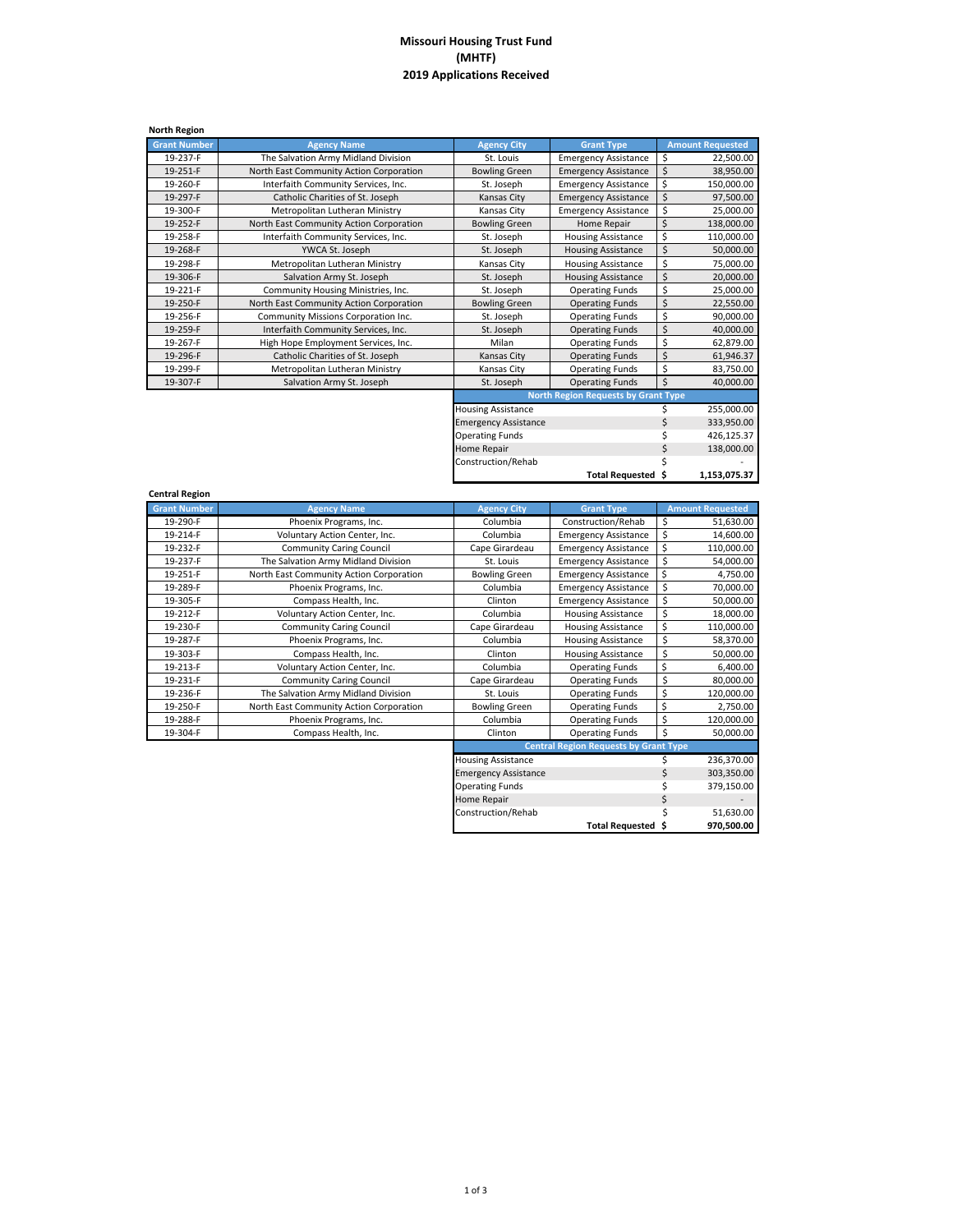## **Missouri Housing Trust Fund (MHTF) 2019 Applications Received**

| <b>North Region</b> |                                         |                             |                                            |    |                         |
|---------------------|-----------------------------------------|-----------------------------|--------------------------------------------|----|-------------------------|
| <b>Grant Number</b> | <b>Agency Name</b>                      | <b>Agency City</b>          | <b>Grant Type</b>                          |    | <b>Amount Requested</b> |
| 19-237-F            | The Salvation Army Midland Division     | St. Louis                   | <b>Emergency Assistance</b>                | \$ | 22,500.00               |
| 19-251-F            | North East Community Action Corporation | <b>Bowling Green</b>        | <b>Emergency Assistance</b>                | \$ | 38,950.00               |
| 19-260-F            | Interfaith Community Services, Inc.     | St. Joseph                  | <b>Emergency Assistance</b>                | \$ | 150,000.00              |
| 19-297-F            | Catholic Charities of St. Joseph        | Kansas City                 | <b>Emergency Assistance</b>                | \$ | 97,500.00               |
| 19-300-F            | Metropolitan Lutheran Ministry          | Kansas City                 | <b>Emergency Assistance</b>                | \$ | 25,000.00               |
| 19-252-F            | North East Community Action Corporation | <b>Bowling Green</b>        | Home Repair                                | Ś  | 138,000.00              |
| 19-258-F            | Interfaith Community Services, Inc.     | St. Joseph                  | <b>Housing Assistance</b>                  | \$ | 110,000.00              |
| 19-268-F            | YWCA St. Joseph                         | St. Joseph                  | <b>Housing Assistance</b>                  | \$ | 50,000.00               |
| 19-298-F            | Metropolitan Lutheran Ministry          | Kansas City                 | <b>Housing Assistance</b>                  | \$ | 75,000.00               |
| 19-306-F            | Salvation Army St. Joseph               | St. Joseph                  | <b>Housing Assistance</b>                  | \$ | 20,000.00               |
| 19-221-F            | Community Housing Ministries, Inc.      | St. Joseph                  | <b>Operating Funds</b>                     | \$ | 25,000.00               |
| 19-250-F            | North East Community Action Corporation | <b>Bowling Green</b>        | <b>Operating Funds</b>                     | \$ | 22,550.00               |
| 19-256-F            | Community Missions Corporation Inc.     | St. Joseph                  | <b>Operating Funds</b>                     | \$ | 90,000.00               |
| 19-259-F            | Interfaith Community Services, Inc.     | St. Joseph                  | <b>Operating Funds</b>                     | \$ | 40,000.00               |
| 19-267-F            | High Hope Employment Services, Inc.     | Milan                       | <b>Operating Funds</b>                     | \$ | 62,879.00               |
| 19-296-F            | Catholic Charities of St. Joseph        | Kansas City                 | <b>Operating Funds</b>                     | \$ | 61,946.37               |
| 19-299-F            | Metropolitan Lutheran Ministry          | Kansas City                 | <b>Operating Funds</b>                     | \$ | 83,750.00               |
| 19-307-F            | Salvation Army St. Joseph               | St. Joseph                  | <b>Operating Funds</b>                     | \$ | 40,000.00               |
|                     |                                         |                             | <b>North Region Requests by Grant Type</b> |    |                         |
|                     |                                         | <b>Housing Assistance</b>   |                                            |    | 255,000.00              |
|                     |                                         | <b>Emergency Assistance</b> |                                            |    | 333.950.00              |

|                             | Total Requested \$ | 1,153,075.37 |
|-----------------------------|--------------------|--------------|
| Construction/Rehab          |                    |              |
| Home Repair                 |                    | 138,000.00   |
| <b>Operating Funds</b>      |                    | 426,125.37   |
| <b>Emergency Assistance</b> |                    | 333,950.00   |
| <b>Housing Assistance</b>   |                    | 255,000.00   |

| <b>Central Region</b> |                                         |                           |                                              |                              |
|-----------------------|-----------------------------------------|---------------------------|----------------------------------------------|------------------------------|
| <b>Grant Number</b>   | <b>Agency Name</b>                      | <b>Agency City</b>        | <b>Grant Type</b>                            | <b>Amount Requested</b>      |
| 19-290-F              | Phoenix Programs, Inc.                  | Columbia                  | Construction/Rehab                           | \$<br>51,630.00              |
| 19-214-F              | Voluntary Action Center, Inc.           | Columbia                  | <b>Emergency Assistance</b>                  | \$<br>14,600.00              |
| 19-232-F              | <b>Community Caring Council</b>         | Cape Girardeau            | <b>Emergency Assistance</b>                  | \$<br>110,000.00             |
| 19-237-F              | The Salvation Army Midland Division     | St. Louis                 | <b>Emergency Assistance</b>                  | \$<br>54,000.00              |
| 19-251-F              | North East Community Action Corporation | <b>Bowling Green</b>      | <b>Emergency Assistance</b>                  | \$<br>4,750.00               |
| 19-289-F              | Phoenix Programs, Inc.                  | Columbia                  | <b>Emergency Assistance</b>                  | \$<br>70,000.00              |
| 19-305-F              | Compass Health, Inc.                    | Clinton                   | <b>Emergency Assistance</b>                  | \$<br>50,000.00              |
| 19-212-F              | Voluntary Action Center, Inc.           | Columbia                  | <b>Housing Assistance</b>                    | \$<br>18,000.00              |
| 19-230-F              | <b>Community Caring Council</b>         | Cape Girardeau            | <b>Housing Assistance</b>                    | \$<br>110,000.00             |
| 19-287-F              | Phoenix Programs, Inc.                  | Columbia                  | <b>Housing Assistance</b>                    | \$<br>58,370.00              |
| 19-303-F              | Compass Health, Inc.                    | Clinton                   | <b>Housing Assistance</b>                    | \$<br>50,000.00              |
| 19-213-F              | Voluntary Action Center, Inc.           | Columbia                  | <b>Operating Funds</b>                       | \$<br>6,400.00               |
| 19-231-F              | <b>Community Caring Council</b>         | Cape Girardeau            | <b>Operating Funds</b>                       | \$<br>80,000.00              |
| 19-236-F              | The Salvation Army Midland Division     | St. Louis                 | <b>Operating Funds</b>                       | \$<br>120,000.00             |
| 19-250-F              | North East Community Action Corporation | <b>Bowling Green</b>      | <b>Operating Funds</b>                       | \$<br>2,750.00               |
| 19-288-F              | Phoenix Programs, Inc.                  | Columbia                  | <b>Operating Funds</b>                       | \$<br>120,000.00             |
| 19-304-F              | Compass Health, Inc.                    | Clinton                   | <b>Operating Funds</b>                       | \$<br>50,000.00              |
|                       |                                         |                           | <b>Central Region Requests by Grant Type</b> |                              |
|                       |                                         | <b>Housing Assistance</b> |                                              | 236,370.00                   |
|                       |                                         |                           |                                              | $\overline{a}$<br>0.00000000 |

| Clinton                                      | <b>Operating Funds</b> | \$ | 50,000.00  |  |  |  |
|----------------------------------------------|------------------------|----|------------|--|--|--|
| <b>Central Region Requests by Grant Type</b> |                        |    |            |  |  |  |
| <b>Housing Assistance</b>                    |                        |    | 236,370.00 |  |  |  |
| <b>Emergency Assistance</b>                  |                        | Ś  | 303,350.00 |  |  |  |
| <b>Operating Funds</b>                       |                        | Ś  | 379,150.00 |  |  |  |
| Home Repair                                  |                        | Ś  |            |  |  |  |
| Construction/Rehab                           |                        | Ś  | 51,630.00  |  |  |  |
|                                              | Total Requested \$     |    | 970.500.00 |  |  |  |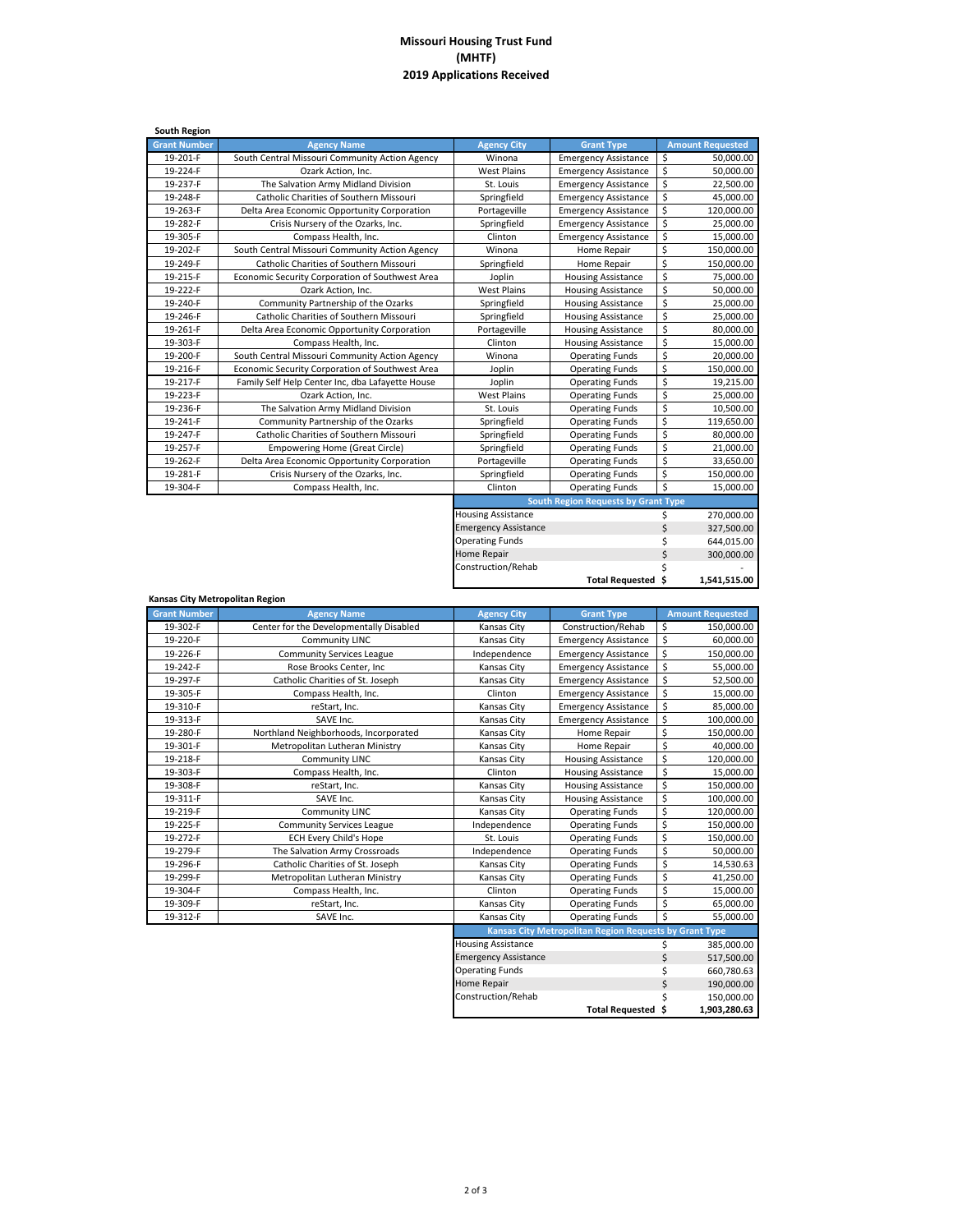## **Missouri Housing Trust Fund (MHTF) Applications Received**

| <b>South Region</b> |                                                  |                             |                                            |                    |                         |
|---------------------|--------------------------------------------------|-----------------------------|--------------------------------------------|--------------------|-------------------------|
| <b>Grant Number</b> | <b>Agency Name</b>                               | <b>Agency City</b>          | <b>Grant Type</b>                          |                    | <b>Amount Requested</b> |
| 19-201-F            | South Central Missouri Community Action Agency   | Winona                      | <b>Emergency Assistance</b>                | \$                 | 50,000.00               |
| 19-224-F            | Ozark Action, Inc.                               | <b>West Plains</b>          | <b>Emergency Assistance</b>                | \$                 | 50,000.00               |
| 19-237-F            | The Salvation Army Midland Division              | St. Louis                   | <b>Emergency Assistance</b>                | \$                 | 22,500.00               |
| 19-248-F            | Catholic Charities of Southern Missouri          | Springfield                 | <b>Emergency Assistance</b>                | \$                 | 45,000.00               |
| 19-263-F            | Delta Area Economic Opportunity Corporation      | Portageville                | <b>Emergency Assistance</b>                | \$                 | 120,000.00              |
| 19-282-F            | Crisis Nursery of the Ozarks, Inc.               | Springfield                 | <b>Emergency Assistance</b>                | \$                 | 25,000.00               |
| 19-305-F            | Compass Health, Inc.                             | Clinton                     | <b>Emergency Assistance</b>                | \$                 | 15,000.00               |
| 19-202-F            | South Central Missouri Community Action Agency   | Winona                      | Home Repair                                | \$                 | 150,000.00              |
| 19-249-F            | Catholic Charities of Southern Missouri          | Springfield                 | Home Repair                                | \$                 | 150,000.00              |
| 19-215-F            | Economic Security Corporation of Southwest Area  | Joplin                      | <b>Housing Assistance</b>                  | \$                 | 75,000.00               |
| 19-222-F            | Ozark Action, Inc.                               | <b>West Plains</b>          | <b>Housing Assistance</b>                  | \$                 | 50,000.00               |
| 19-240-F            | Community Partnership of the Ozarks              | Springfield                 | <b>Housing Assistance</b>                  | \$                 | 25,000.00               |
| 19-246-F            | Catholic Charities of Southern Missouri          | Springfield                 | <b>Housing Assistance</b>                  | \$                 | 25,000.00               |
| 19-261-F            | Delta Area Economic Opportunity Corporation      | Portageville                | <b>Housing Assistance</b>                  | \$                 | 80,000.00               |
| 19-303-F            | Compass Health, Inc.                             | Clinton                     | <b>Housing Assistance</b>                  | \$                 | 15,000.00               |
| 19-200-F            | South Central Missouri Community Action Agency   | Winona                      | <b>Operating Funds</b>                     | \$                 | 20,000.00               |
| 19-216-F            | Economic Security Corporation of Southwest Area  | Joplin                      | <b>Operating Funds</b>                     | \$                 | 150,000.00              |
| 19-217-F            | Family Self Help Center Inc, dba Lafayette House | Joplin                      | <b>Operating Funds</b>                     | \$                 | 19,215.00               |
| 19-223-F            | Ozark Action, Inc.                               | <b>West Plains</b>          | <b>Operating Funds</b>                     | \$                 | 25,000.00               |
| 19-236-F            | The Salvation Army Midland Division              | St. Louis                   | <b>Operating Funds</b>                     | \$                 | 10,500.00               |
| 19-241-F            | Community Partnership of the Ozarks              | Springfield                 | <b>Operating Funds</b>                     | \$                 | 119,650.00              |
| 19-247-F            | Catholic Charities of Southern Missouri          | Springfield                 | <b>Operating Funds</b>                     | \$                 | 80,000.00               |
| 19-257-F            | <b>Empowering Home (Great Circle)</b>            | Springfield                 | <b>Operating Funds</b>                     | \$                 | 21,000.00               |
| 19-262-F            | Delta Area Economic Opportunity Corporation      | Portageville                | <b>Operating Funds</b>                     | \$                 | 33,650.00               |
| 19-281-F            | Crisis Nursery of the Ozarks, Inc.               | Springfield                 | <b>Operating Funds</b>                     | \$                 | 150,000.00              |
| 19-304-F            | Compass Health, Inc.                             | Clinton                     | <b>Operating Funds</b>                     | $\mathsf{\hat{S}}$ | 15,000.00               |
|                     |                                                  |                             | <b>South Region Requests by Grant Type</b> |                    |                         |
|                     |                                                  | <b>Housing Assistance</b>   |                                            | Ś                  | 270,000.00              |
|                     |                                                  | <b>Emergency Assistance</b> |                                            | \$                 | 327,500.00              |

|                             | South Region Requests by Grant Type |   |              |
|-----------------------------|-------------------------------------|---|--------------|
| <b>Housing Assistance</b>   |                                     |   | 270,000.00   |
| <b>Emergency Assistance</b> |                                     | Ś | 327,500.00   |
| <b>Operating Funds</b>      | Ś                                   |   | 644.015.00   |
| Home Repair                 | Ś                                   |   | 300,000.00   |
| Construction/Rehab          | Ś                                   |   |              |
|                             | Total Requested \$                  |   | 1,541,515.00 |

 $$ 190,000.00$  $$ 150,000.00$ **\$ 1,903,280.63**

**Total Requested**

| Kansas City Metropolitan Region |                                         |                             |                                                               |    |                         |
|---------------------------------|-----------------------------------------|-----------------------------|---------------------------------------------------------------|----|-------------------------|
| <b>Grant Number</b>             | <b>Agency Name</b>                      | <b>Agency City</b>          | <b>Grant Type</b>                                             |    | <b>Amount Requested</b> |
| 19-302-F                        | Center for the Developmentally Disabled | Kansas City                 | Construction/Rehab                                            | \$ | 150,000.00              |
| 19-220-F                        | <b>Community LINC</b>                   | Kansas City                 | <b>Emergency Assistance</b>                                   | \$ | 60,000.00               |
| 19-226-F                        | <b>Community Services League</b>        | Independence                | <b>Emergency Assistance</b>                                   | \$ | 150,000.00              |
| 19-242-F                        | Rose Brooks Center, Inc                 | <b>Kansas City</b>          | <b>Emergency Assistance</b>                                   | \$ | 55,000.00               |
| 19-297-F                        | Catholic Charities of St. Joseph        | Kansas City                 | <b>Emergency Assistance</b>                                   | \$ | 52,500.00               |
| 19-305-F                        | Compass Health, Inc.                    | Clinton                     | <b>Emergency Assistance</b>                                   | \$ | 15,000.00               |
| 19-310-F                        | reStart, Inc.                           | Kansas City                 | <b>Emergency Assistance</b>                                   | \$ | 85,000.00               |
| 19-313-F                        | SAVE Inc.                               | Kansas City                 | <b>Emergency Assistance</b>                                   | \$ | 100,000.00              |
| 19-280-F                        | Northland Neighborhoods, Incorporated   | Kansas City                 | Home Repair                                                   | \$ | 150,000.00              |
| 19-301-F                        | Metropolitan Lutheran Ministry          | Kansas City                 | Home Repair                                                   | \$ | 40,000.00               |
| 19-218-F                        | <b>Community LINC</b>                   | Kansas City                 | <b>Housing Assistance</b>                                     | \$ | 120,000.00              |
| 19-303-F                        | Compass Health, Inc.                    | Clinton                     | <b>Housing Assistance</b>                                     | \$ | 15,000.00               |
| 19-308-F                        | reStart, Inc.                           | Kansas City                 | <b>Housing Assistance</b>                                     | \$ | 150,000.00              |
| 19-311-F                        | SAVE Inc.                               | Kansas City                 | <b>Housing Assistance</b>                                     | \$ | 100,000.00              |
| 19-219-F                        | <b>Community LINC</b>                   | Kansas City                 | <b>Operating Funds</b>                                        | \$ | 120,000.00              |
| 19-225-F                        | <b>Community Services League</b>        | Independence                | <b>Operating Funds</b>                                        | \$ | 150,000.00              |
| 19-272-F                        | <b>ECH Every Child's Hope</b>           | St. Louis                   | <b>Operating Funds</b>                                        | \$ | 150,000.00              |
| 19-279-F                        | The Salvation Army Crossroads           | Independence                | <b>Operating Funds</b>                                        | \$ | 50,000.00               |
| 19-296-F                        | Catholic Charities of St. Joseph        | Kansas City                 | <b>Operating Funds</b>                                        | \$ | 14,530.63               |
| 19-299-F                        | Metropolitan Lutheran Ministry          | Kansas City                 | <b>Operating Funds</b>                                        | \$ | 41,250.00               |
| 19-304-F                        | Compass Health, Inc.                    | Clinton                     | <b>Operating Funds</b>                                        | \$ | 15,000.00               |
| 19-309-F                        | reStart, Inc.                           | Kansas City                 | <b>Operating Funds</b>                                        | \$ | 65,000.00               |
| 19-312-F                        | SAVE Inc.                               | Kansas City                 | <b>Operating Funds</b>                                        | Ś  | 55,000.00               |
|                                 |                                         |                             | <b>Kansas City Metropolitan Region Requests by Grant Type</b> |    |                         |
|                                 |                                         | <b>Housing Assistance</b>   |                                                               | \$ | 385,000.00              |
|                                 |                                         | <b>Emergency Assistance</b> |                                                               | \$ | 517,500.00              |
|                                 |                                         | <b>Operating Funds</b>      |                                                               | \$ | 660,780.63              |
|                                 |                                         | Home Repair                 |                                                               | \$ | 190,000.00              |
|                                 |                                         |                             |                                                               |    |                         |

Construction/Rehab